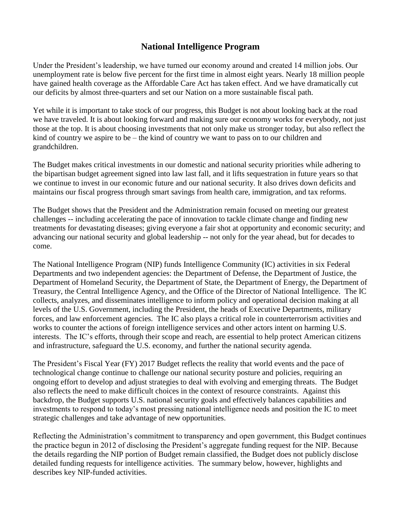## **National Intelligence Program**

Under the President's leadership, we have turned our economy around and created 14 million jobs. Our unemployment rate is below five percent for the first time in almost eight years. Nearly 18 million people have gained health coverage as the Affordable Care Act has taken effect. And we have dramatically cut our deficits by almost three-quarters and set our Nation on a more sustainable fiscal path.

Yet while it is important to take stock of our progress, this Budget is not about looking back at the road we have traveled. It is about looking forward and making sure our economy works for everybody, not just those at the top. It is about choosing investments that not only make us stronger today, but also reflect the kind of country we aspire to be – the kind of country we want to pass on to our children and grandchildren.

The Budget makes critical investments in our domestic and national security priorities while adhering to the bipartisan budget agreement signed into law last fall, and it lifts sequestration in future years so that we continue to invest in our economic future and our national security. It also drives down deficits and maintains our fiscal progress through smart savings from health care, immigration, and tax reforms.

The Budget shows that the President and the Administration remain focused on meeting our greatest challenges -- including accelerating the pace of innovation to tackle climate change and finding new treatments for devastating diseases; giving everyone a fair shot at opportunity and economic security; and advancing our national security and global leadership -- not only for the year ahead, but for decades to come.

The National Intelligence Program (NIP) funds Intelligence Community (IC) activities in six Federal Departments and two independent agencies: the Department of Defense, the Department of Justice, the Department of Homeland Security, the Department of State, the Department of Energy, the Department of Treasury, the Central Intelligence Agency, and the Office of the Director of National Intelligence. The IC collects, analyzes, and disseminates intelligence to inform policy and operational decision making at all levels of the U.S. Government, including the President, the heads of Executive Departments, military forces, and law enforcement agencies. The IC also plays a critical role in counterterrorism activities and works to counter the actions of foreign intelligence services and other actors intent on harming U.S. interests. The IC's efforts, through their scope and reach, are essential to help protect American citizens and infrastructure, safeguard the U.S. economy, and further the national security agenda.

The President's Fiscal Year (FY) 2017 Budget reflects the reality that world events and the pace of technological change continue to challenge our national security posture and policies, requiring an ongoing effort to develop and adjust strategies to deal with evolving and emerging threats. The Budget also reflects the need to make difficult choices in the context of resource constraints. Against this backdrop, the Budget supports U.S. national security goals and effectively balances capabilities and investments to respond to today's most pressing national intelligence needs and position the IC to meet strategic challenges and take advantage of new opportunities.

Reflecting the Administration's commitment to transparency and open government, this Budget continues the practice begun in 2012 of disclosing the President's aggregate funding request for the NIP. Because the details regarding the NIP portion of Budget remain classified, the Budget does not publicly disclose detailed funding requests for intelligence activities. The summary below, however, highlights and describes key NIP-funded activities.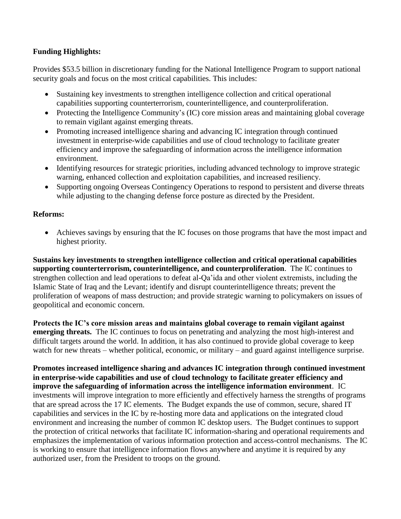## **Funding Highlights:**

Provides \$53.5 billion in discretionary funding for the National Intelligence Program to support national security goals and focus on the most critical capabilities. This includes:

- Sustaining key investments to strengthen intelligence collection and critical operational capabilities supporting counterterrorism, counterintelligence, and counterproliferation.
- Protecting the Intelligence Community's (IC) core mission areas and maintaining global coverage to remain vigilant against emerging threats.
- Promoting increased intelligence sharing and advancing IC integration through continued investment in enterprise-wide capabilities and use of cloud technology to facilitate greater efficiency and improve the safeguarding of information across the intelligence information environment.
- Identifying resources for strategic priorities, including advanced technology to improve strategic warning, enhanced collection and exploitation capabilities, and increased resiliency.
- Supporting ongoing Overseas Contingency Operations to respond to persistent and diverse threats while adjusting to the changing defense force posture as directed by the President.

## **Reforms:**

 Achieves savings by ensuring that the IC focuses on those programs that have the most impact and highest priority.

**Sustains key investments to strengthen intelligence collection and critical operational capabilities supporting counterterrorism, counterintelligence, and counterproliferation**. The IC continues to strengthen collection and lead operations to defeat al-Qa'ida and other violent extremists, including the Islamic State of Iraq and the Levant; identify and disrupt counterintelligence threats; prevent the proliferation of weapons of mass destruction; and provide strategic warning to policymakers on issues of geopolitical and economic concern.

**Protects the IC's core mission areas and maintains global coverage to remain vigilant against emerging threats.** The IC continues to focus on penetrating and analyzing the most high-interest and difficult targets around the world. In addition, it has also continued to provide global coverage to keep watch for new threats – whether political, economic, or military – and guard against intelligence surprise.

**Promotes increased intelligence sharing and advances IC integration through continued investment in enterprise-wide capabilities and use of cloud technology to facilitate greater efficiency and improve the safeguarding of information across the intelligence information environment**. IC investments will improve integration to more efficiently and effectively harness the strengths of programs that are spread across the 17 IC elements. The Budget expands the use of common, secure, shared IT capabilities and services in the IC by re-hosting more data and applications on the integrated cloud environment and increasing the number of common IC desktop users. The Budget continues to support the protection of critical networks that facilitate IC information-sharing and operational requirements and emphasizes the implementation of various information protection and access-control mechanisms. The IC is working to ensure that intelligence information flows anywhere and anytime it is required by any authorized user, from the President to troops on the ground.